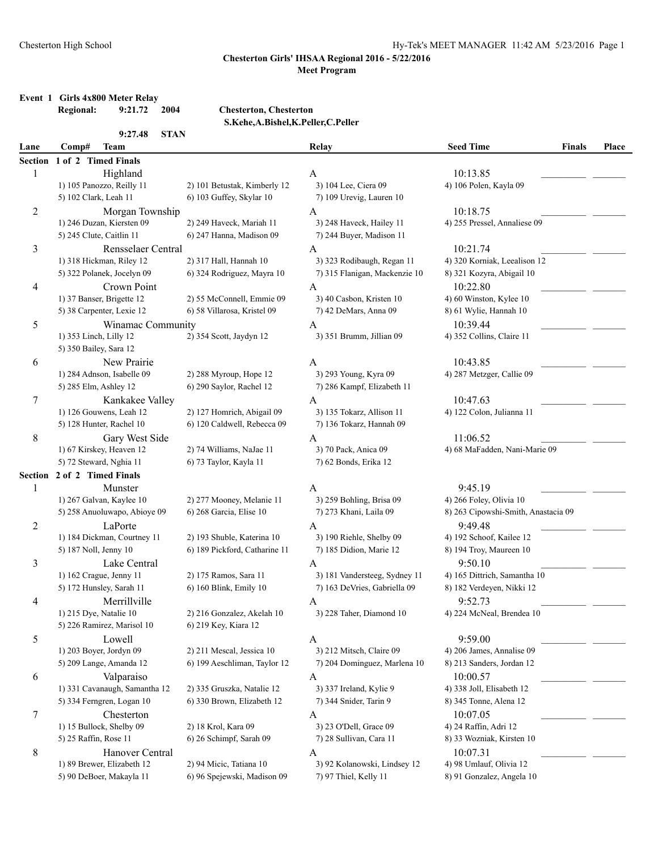## Chesterton High School Hy-Tek's MEET MANAGER 11:42 AM 5/23/2016 Page 1

### **Chesterton Girls' IHSAA Regional 2016 - 5/22/2016 Meet Program**

# **Event 1 Girls 4x800 Meter Relay<br>Regional:** 9:21.72 2004

**Regional: 9:21.72 2004 Chesterton, Chesterton S.Kehe,A.Bishel,K.Peller,C.Peller**

|                | 9:27.48<br><b>STAN</b>                              |                               |                                |                                     |       |
|----------------|-----------------------------------------------------|-------------------------------|--------------------------------|-------------------------------------|-------|
| Lane           | Comp#<br><b>Team</b>                                |                               | Relay                          | <b>Seed Time</b><br><b>Finals</b>   | Place |
| <b>Section</b> | 1 of 2 Timed Finals                                 |                               |                                |                                     |       |
| 1              | Highland                                            |                               | A                              | 10:13.85                            |       |
|                | 1) 105 Panozzo, Reilly 11                           | 2) 101 Betustak, Kimberly 12  | 3) 104 Lee, Ciera 09           | 4) 106 Polen, Kayla 09              |       |
|                | 5) 102 Clark, Leah 11                               | 6) 103 Guffey, Skylar 10      | 7) 109 Urevig, Lauren 10       |                                     |       |
| $\overline{c}$ | Morgan Township                                     |                               | A                              | 10:18.75                            |       |
|                | 1) 246 Duzan, Kiersten 09                           | 2) 249 Haveck, Mariah 11      | 3) 248 Haveck, Hailey 11       | 4) 255 Pressel, Annaliese 09        |       |
|                | 5) 245 Clute, Caitlin 11                            | 6) 247 Hanna, Madison 09      | 7) 244 Buyer, Madison 11       |                                     |       |
| 3              | Rensselaer Central                                  |                               | A                              | 10:21.74                            |       |
|                | 1) 318 Hickman, Riley 12                            | 2) 317 Hall, Hannah 10        | 3) 323 Rodibaugh, Regan 11     | 4) 320 Korniak, Leealison 12        |       |
|                | 5) 322 Polanek, Jocelyn 09                          | 6) 324 Rodriguez, Mayra 10    | 7) 315 Flanigan, Mackenzie 10  | 8) 321 Kozyra, Abigail 10           |       |
| 4              | Crown Point                                         |                               | A                              | 10:22.80                            |       |
|                | 1) 37 Banser, Brigette 12                           | 2) 55 McConnell, Emmie 09     | 3) 40 Casbon, Kristen 10       | 4) 60 Winston, Kylee 10             |       |
|                | 5) 38 Carpenter, Lexie 12                           | 6) 58 Villarosa, Kristel 09   | 7) 42 DeMars, Anna 09          | 8) 61 Wylie, Hannah 10              |       |
| 5              | Winamac Community                                   |                               | A                              | 10:39.44                            |       |
|                | 1) 353 Linch, Lilly 12                              | 2) 354 Scott, Jaydyn 12       | 3) 351 Brumm, Jillian 09       | 4) 352 Collins, Claire 11           |       |
|                | 5) 350 Bailey, Sara 12                              |                               |                                |                                     |       |
| 6              | New Prairie                                         |                               | A                              | 10:43.85                            |       |
|                | 1) 284 Adnson, Isabelle 09                          | 2) 288 Myroup, Hope 12        | 3) 293 Young, Kyra 09          | 4) 287 Metzger, Callie 09           |       |
|                | 5) 285 Elm, Ashley 12                               | 6) 290 Saylor, Rachel 12      | 7) 286 Kampf, Elizabeth 11     |                                     |       |
|                |                                                     |                               |                                | 10:47.63                            |       |
| 7              | Kankakee Valley                                     | 2) 127 Homrich, Abigail 09    | A<br>3) 135 Tokarz, Allison 11 |                                     |       |
|                | 1) 126 Gouwens, Leah 12<br>5) 128 Hunter, Rachel 10 | 6) 120 Caldwell, Rebecca 09   | 7) 136 Tokarz, Hannah 09       | 4) 122 Colon, Julianna 11           |       |
|                |                                                     |                               |                                |                                     |       |
| $\,8\,$        | Gary West Side                                      |                               | A                              | 11:06.52                            |       |
|                | 1) 67 Kirskey, Heaven 12                            | 2) 74 Williams, NaJae 11      | 3) 70 Pack, Anica 09           | 4) 68 MaFadden, Nani-Marie 09       |       |
|                | 5) 72 Steward, Nghia 11                             | 6) 73 Taylor, Kayla 11        | 7) 62 Bonds, Erika 12          |                                     |       |
|                | Section 2 of 2 Timed Finals                         |                               |                                |                                     |       |
| 1              | Munster                                             |                               | A                              | 9:45.19                             |       |
|                | 1) 267 Galvan, Kaylee 10                            | 2) 277 Mooney, Melanie 11     | 3) 259 Bohling, Brisa 09       | 4) 266 Foley, Olivia 10             |       |
|                | 5) 258 Anuoluwapo, Abioye 09                        | 6) 268 Garcia, Elise 10       | 7) 273 Khani, Laila 09         | 8) 263 Cipowshi-Smith, Anastacia 09 |       |
| 2              | LaPorte                                             |                               | A                              | 9:49.48                             |       |
|                | 1) 184 Dickman, Courtney 11                         | 2) 193 Shuble, Katerina 10    | 3) 190 Riehle, Shelby 09       | 4) 192 Schoof, Kailee 12            |       |
|                | 5) 187 Noll, Jenny 10                               | 6) 189 Pickford, Catharine 11 | 7) 185 Didion, Marie 12        | 8) 194 Troy, Maureen 10             |       |
| 3              | Lake Central                                        |                               | A                              | 9:50.10                             |       |
|                | 1) 162 Crague, Jenny 11                             | 2) 175 Ramos, Sara 11         | 3) 181 Vandersteeg, Sydney 11  | 4) 165 Dittrich, Samantha 10        |       |
|                | 5) 172 Hunsley, Sarah 11                            | 6) 160 Blink, Emily 10        | 7) 163 DeVries, Gabriella 09   | 8) 182 Verdeyen, Nikki 12           |       |
| 4              | Merrillville                                        |                               | Α                              | 9:52.73                             |       |
|                | 1) 215 Dye, Natalie 10                              | 2) 216 Gonzalez, Akelah 10    | 3) 228 Taher, Diamond 10       | 4) 224 McNeal, Brendea 10           |       |
|                | 5) 226 Ramirez, Marisol 10                          | 6) 219 Key, Kiara 12          |                                |                                     |       |
| 5              | Lowell                                              |                               | A                              | 9:59.00                             |       |
|                | 1) 203 Boyer, Jordyn 09                             | 2) 211 Mescal, Jessica 10     | 3) 212 Mitsch, Claire 09       | 4) 206 James, Annalise 09           |       |
|                | 5) 209 Lange, Amanda 12                             | 6) 199 Aeschliman, Taylor 12  | 7) 204 Dominguez, Marlena 10   | 8) 213 Sanders, Jordan 12           |       |
| 6              | Valparaiso                                          |                               | A                              | 10:00.57                            |       |
|                | 1) 331 Cavanaugh, Samantha 12                       | 2) 335 Gruszka, Natalie 12    | 3) 337 Ireland, Kylie 9        | 4) 338 Joll, Elisabeth 12           |       |
|                | 5) 334 Ferngren, Logan 10                           | 6) 330 Brown, Elizabeth 12    | 7) 344 Snider, Tarin 9         | 8) 345 Tonne, Alena 12              |       |
| 7              | Chesterton                                          |                               | A                              | 10:07.05                            |       |
|                | 1) 15 Bullock, Shelby 09                            | 2) 18 Krol, Kara 09           | 3) 23 O'Dell, Grace 09         | 4) 24 Raffin, Adri 12               |       |
|                | 5) 25 Raffin, Rose 11                               | 6) 26 Schimpf, Sarah 09       | 7) 28 Sullivan, Cara 11        | 8) 33 Wozniak, Kirsten 10           |       |
| 8              | Hanover Central                                     |                               | A                              | 10:07.31                            |       |
|                | 1) 89 Brewer, Elizabeth 12                          | 2) 94 Micic, Tatiana 10       | 3) 92 Kolanowski, Lindsey 12   | 4) 98 Umlauf, Olivia 12             |       |
|                | 5) 90 DeBoer, Makayla 11                            | 6) 96 Spejewski, Madison 09   | 7) 97 Thiel, Kelly 11          | 8) 91 Gonzalez, Angela 10           |       |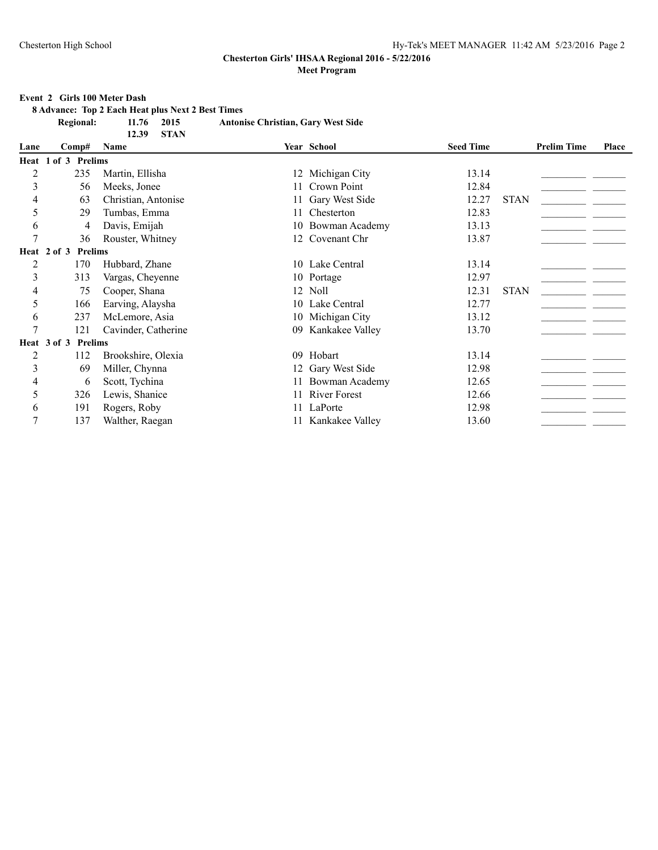### **Event 2 Girls 100 Meter Dash**

**8 Advance: Top 2 Each Heat plus Next 2 Best Times**

| Regional: | 11.76 2015 |  | <b>Antonise Christian, Gary West Side</b> |
|-----------|------------|--|-------------------------------------------|
|-----------|------------|--|-------------------------------------------|

|                |                               | <b>STAN</b><br>12.39 |    |                     |                  |             |                    |       |
|----------------|-------------------------------|----------------------|----|---------------------|------------------|-------------|--------------------|-------|
| Lane           | Comp#                         | Name                 |    | Year School         | <b>Seed Time</b> |             | <b>Prelim Time</b> | Place |
|                | Heat 1 of 3 Prelims           |                      |    |                     |                  |             |                    |       |
| $\overline{c}$ | 235                           | Martin, Ellisha      |    | 12 Michigan City    | 13.14            |             |                    |       |
| 3              | 56                            | Meeks, Jonee         | 11 | Crown Point         | 12.84            |             |                    |       |
| 4              | 63                            | Christian, Antonise  |    | 11 Gary West Side   | 12.27            | <b>STAN</b> |                    |       |
| 5              | 29                            | Tumbas, Emma         | 11 | Chesterton          | 12.83            |             |                    |       |
| 6              | 4                             | Davis, Emijah        |    | 10 Bowman Academy   | 13.13            |             |                    |       |
| $\overline{7}$ | 36                            | Rouster, Whitney     |    | 12 Covenant Chr     | 13.87            |             |                    |       |
|                | <b>Prelims</b><br>Heat 2 of 3 |                      |    |                     |                  |             |                    |       |
| $\overline{c}$ | 170                           | Hubbard, Zhane       |    | 10 Lake Central     | 13.14            |             |                    |       |
| 3              | 313                           | Vargas, Cheyenne     |    | 10 Portage          | 12.97            |             |                    |       |
| 4              | 75                            | Cooper, Shana        |    | 12 Noll             | 12.31            | <b>STAN</b> |                    |       |
| 5              | 166                           | Earving, Alaysha     |    | 10 Lake Central     | 12.77            |             |                    |       |
| 6              | 237                           | McLemore, Asia       |    | 10 Michigan City    | 13.12            |             |                    |       |
| $\overline{7}$ | 121                           | Cavinder, Catherine  | 09 | Kankakee Valley     | 13.70            |             |                    |       |
|                | Heat 3 of 3 Prelims           |                      |    |                     |                  |             |                    |       |
| $\overline{2}$ | 112                           | Brookshire, Olexia   | 09 | Hobart              | 13.14            |             |                    |       |
| 3              | 69                            | Miller, Chynna       |    | 12 Gary West Side   | 12.98            |             |                    |       |
| 4              | 6                             | Scott, Tychina       | 11 | Bowman Academy      | 12.65            |             |                    |       |
| 5              | 326                           | Lewis, Shanice       | 11 | <b>River Forest</b> | 12.66            |             |                    |       |
| 6              | 191                           | Rogers, Roby         | 11 | LaPorte             | 12.98            |             |                    |       |
| $\overline{7}$ | 137                           | Walther, Raegan      |    | 11 Kankakee Valley  | 13.60            |             |                    |       |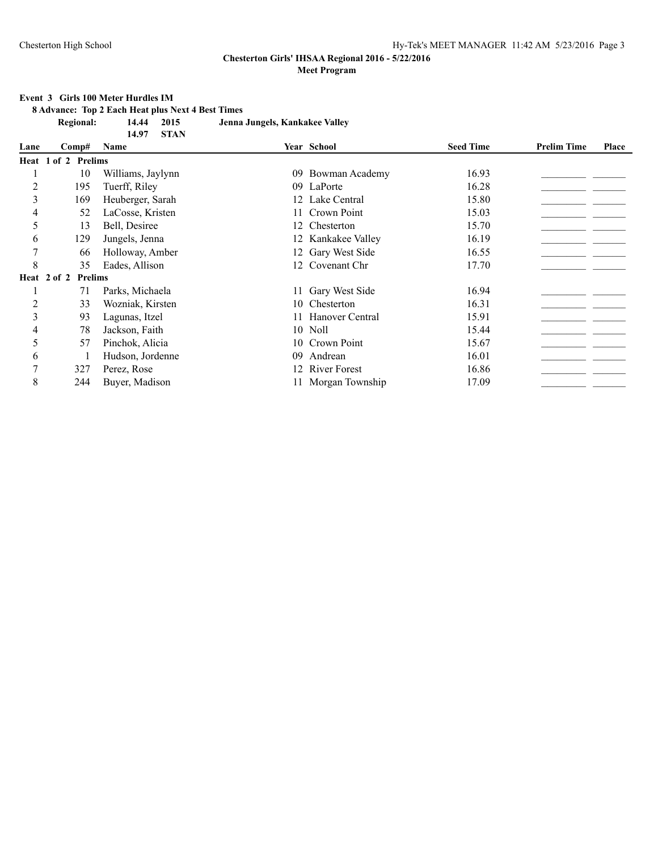### **Event 3 Girls 100 Meter Hurdles IM**

**8 Advance: Top 2 Each Heat plus Next 4 Best Times**

| <b>Regional:</b> | 14.44 2015 |            | Jenna Jungels, Kankakee Valley |
|------------------|------------|------------|--------------------------------|
|                  |            | 14.97 STAN |                                |

|      |                               | 5111              |    |                     |                  |                    |       |
|------|-------------------------------|-------------------|----|---------------------|------------------|--------------------|-------|
| Lane | Comp#                         | Name              |    | Year School         | <b>Seed Time</b> | <b>Prelim Time</b> | Place |
|      | Heat 1 of 2 Prelims           |                   |    |                     |                  |                    |       |
|      | 10                            | Williams, Jaylynn | 09 | Bowman Academy      | 16.93            |                    |       |
| 2    | 195                           | Tuerff, Riley     | 09 | LaPorte             | 16.28            |                    |       |
| 3    | 169                           | Heuberger, Sarah  |    | Lake Central        | 15.80            |                    |       |
| 4    | 52                            | LaCosse, Kristen  | 11 | Crown Point         | 15.03            |                    |       |
| 5    | 13                            | Bell, Desiree     | 12 | Chesterton          | 15.70            |                    |       |
| 6    | 129                           | Jungels, Jenna    |    | 12 Kankakee Valley  | 16.19            |                    |       |
|      | 66                            | Holloway, Amber   |    | 12 Gary West Side   | 16.55            |                    |       |
| 8    | 35                            | Eades, Allison    |    | 12 Covenant Chr     | 17.70            |                    |       |
|      | <b>Prelims</b><br>Heat 2 of 2 |                   |    |                     |                  |                    |       |
|      | 71                            | Parks, Michaela   |    | 11 Gary West Side   | 16.94            |                    |       |
| 2    | 33                            | Wozniak, Kirsten  |    | 10 Chesterton       | 16.31            |                    |       |
| 3    | 93                            | Lagunas, Itzel    |    | 11 Hanover Central  | 15.91            |                    |       |
| 4    | 78                            | Jackson, Faith    |    | 10 Noll             | 15.44            |                    |       |
| 5    | 57                            | Pinchok, Alicia   |    | 10 Crown Point      | 15.67            |                    |       |
| 6    |                               | Hudson, Jordenne  | 09 | Andrean             | 16.01            |                    |       |
| 7    | 327                           | Perez, Rose       |    | <b>River Forest</b> | 16.86            |                    |       |
| 8    | 244                           | Buyer, Madison    |    | 11 Morgan Township  | 17.09            |                    |       |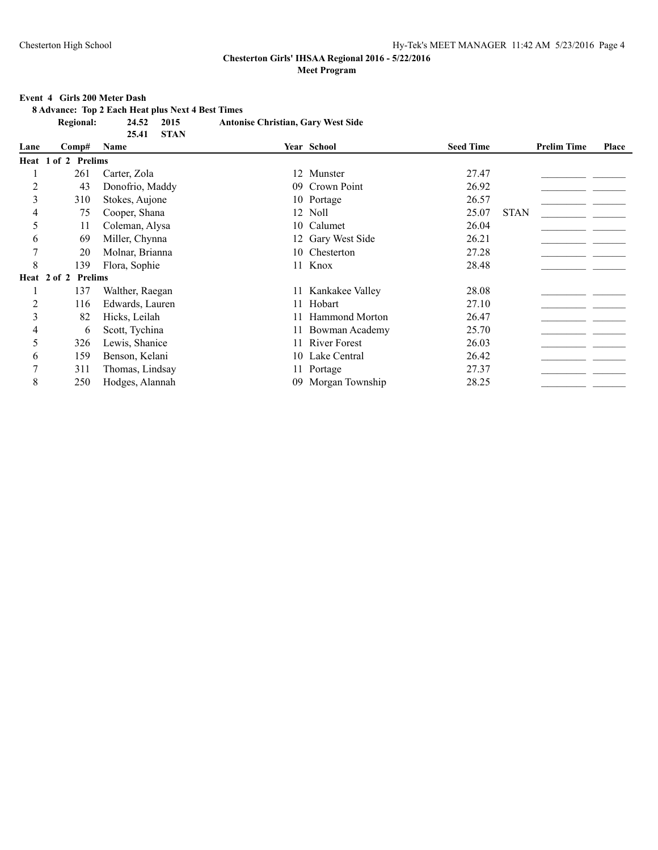#### **Event 4 Girls 200 Meter Dash**

**8 Advance: Top 2 Each Heat plus Next 4 Best Times**

**Regional: 24.52 2015 Antonise Christian, Gary West Side**

|                |                     | <b>STAN</b><br>25.41 |    |                       |                  |             |                    |       |
|----------------|---------------------|----------------------|----|-----------------------|------------------|-------------|--------------------|-------|
| Lane           | Comp#               | Name                 |    | Year School           | <b>Seed Time</b> |             | <b>Prelim Time</b> | Place |
|                | Heat 1 of 2 Prelims |                      |    |                       |                  |             |                    |       |
|                | 261                 | Carter, Zola         |    | 12 Munster            | 27.47            |             |                    |       |
| $\overline{c}$ | 43                  | Donofrio, Maddy      |    | 09 Crown Point        | 26.92            |             |                    |       |
| 3              | 310                 | Stokes, Aujone       |    | 10 Portage            | 26.57            |             |                    |       |
| 4              | 75                  | Cooper, Shana        |    | 12 Noll               | 25.07            | <b>STAN</b> |                    |       |
| 5              | 11                  | Coleman, Alysa       |    | 10 Calumet            | 26.04            |             |                    |       |
| 6              | 69                  | Miller, Chynna       |    | 12 Gary West Side     | 26.21            |             |                    |       |
| 7              | 20                  | Molnar, Brianna      |    | 10 Chesterton         | 27.28            |             |                    |       |
| 8              | 139                 | Flora, Sophie        |    | 11 Knox               | 28.48            |             |                    |       |
|                | Heat 2 of 2 Prelims |                      |    |                       |                  |             |                    |       |
|                | 137                 | Walther, Raegan      | 11 | Kankakee Valley       | 28.08            |             |                    |       |
| $\overline{c}$ | 116                 | Edwards, Lauren      | 11 | Hobart                | 27.10            |             |                    |       |
| 3              | 82                  | Hicks, Leilah        | 11 | <b>Hammond Morton</b> | 26.47            |             |                    |       |
| 4              | 6                   | Scott, Tychina       | 11 | Bowman Academy        | 25.70            |             |                    |       |
| 5              | 326                 | Lewis, Shanice       | 11 | <b>River Forest</b>   | 26.03            |             |                    |       |
| 6              | 159                 | Benson, Kelani       |    | 10 Lake Central       | 26.42            |             |                    |       |
| $\tau$         | 311                 | Thomas, Lindsay      |    | 11 Portage            | 27.37            |             |                    |       |
| 8              | 250                 | Hodges, Alannah      |    | 09 Morgan Township    | 28.25            |             |                    |       |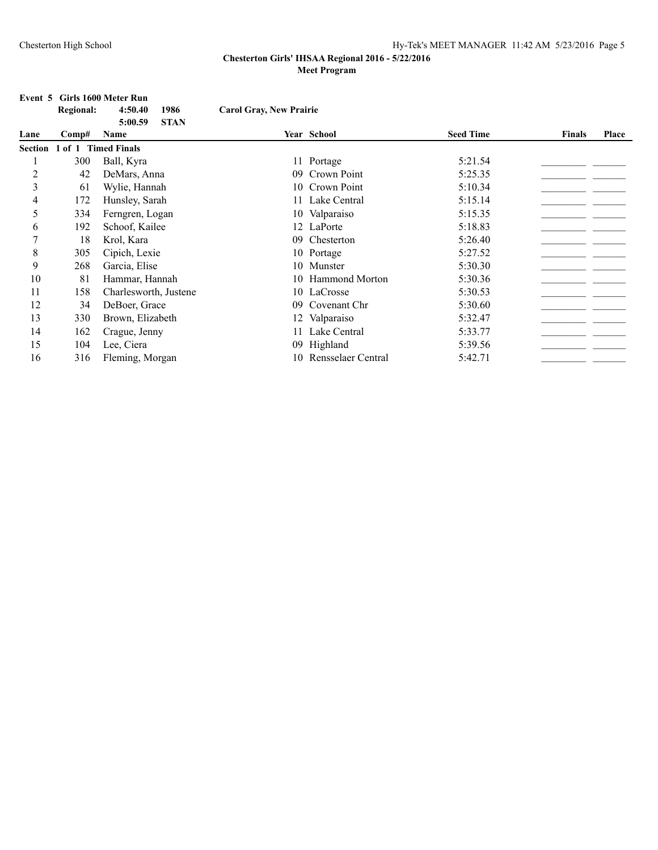# **Event 5 Girls 1600 Meter Run<br>Regional:** 4:50.40

|                | <b>Regional:</b>    | 1986<br>4:50.40                | <b>Carol Gray, New Prairie</b> |                    |                  |               |       |
|----------------|---------------------|--------------------------------|--------------------------------|--------------------|------------------|---------------|-------|
| Lane           | Comp#               | <b>STAN</b><br>5:00.59<br>Name |                                | Year School        | <b>Seed Time</b> | <b>Finals</b> | Place |
| Section        | 1 of 1 Timed Finals |                                |                                |                    |                  |               |       |
|                | 300                 | Ball, Kyra                     |                                | 11 Portage         | 5:21.54          |               |       |
| $\overline{c}$ | 42                  | DeMars, Anna                   | 09                             | Crown Point        | 5:25.35          |               |       |
| 3              | 61                  | Wylie, Hannah                  |                                | 10 Crown Point     | 5:10.34          |               |       |
| 4              | 172                 | Hunsley, Sarah                 |                                | 11 Lake Central    | 5:15.14          |               |       |
| 5              | 334                 | Ferngren, Logan                |                                | 10 Valparaiso      | 5:15.35          |               |       |
| 6              | 192                 | Schoof, Kailee                 |                                | 12 LaPorte         | 5:18.83          |               |       |
| 7              | 18                  | Krol, Kara                     | 09                             | Chesterton         | 5:26.40          |               |       |
| 8              | 305                 | Cipich, Lexie                  |                                | 10 Portage         | 5:27.52          |               |       |
| 9              | 268                 | Garcia, Elise                  |                                | 10 Munster         | 5:30.30          |               |       |
| 10             | 81                  | Hammar, Hannah                 |                                | 10 Hammond Morton  | 5:30.36          |               |       |
| 11             | 158                 | Charlesworth, Justene          |                                | 10 LaCrosse        | 5:30.53          |               |       |
| 12             | 34                  | DeBoer, Grace                  | 09                             | Covenant Chr       | 5:30.60          |               |       |
| 13             | 330                 | Brown, Elizabeth               |                                | 12 Valparaiso      | 5:32.47          |               |       |
| 14             | 162                 | Crague, Jenny                  | 11                             | Lake Central       | 5:33.77          |               |       |
| 15             | 104                 | Lee, Ciera                     | 09.                            | Highland           | 5:39.56          |               |       |
| 16             | 316                 | Fleming, Morgan                | 10                             | Rensselaer Central | 5:42.71          |               |       |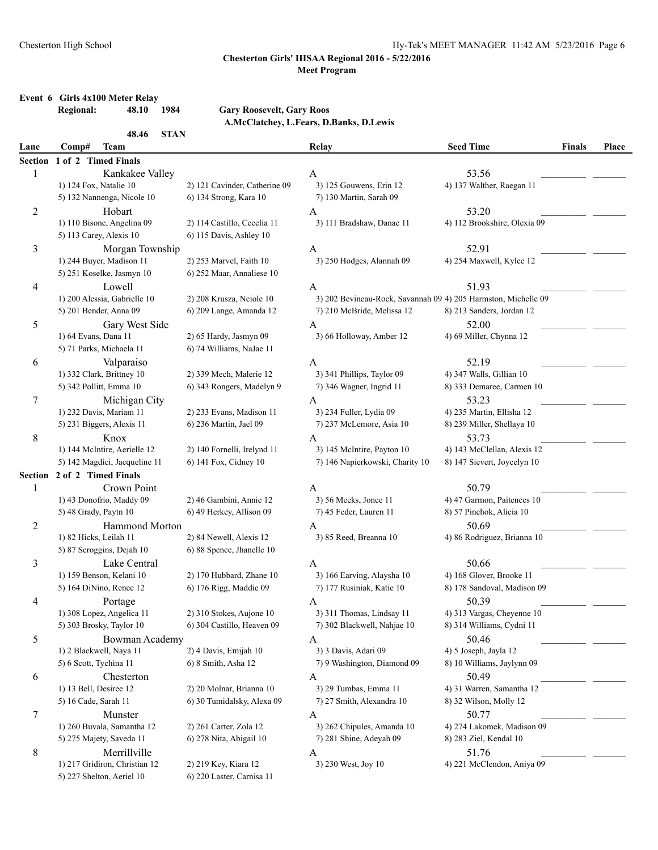# **Event 6 Girls 4x100 Meter Relay**

# **Regional: 48.10 1984 Gary Roosevelt, Gary Roos**

**A.McClatchey, L.Fears, D.Banks, D.Lewis**

|                | 48.46<br><b>STAN</b>          |                               |                                                                |                              |               |              |
|----------------|-------------------------------|-------------------------------|----------------------------------------------------------------|------------------------------|---------------|--------------|
| Lane           | Comp#<br><b>Team</b>          |                               | Relay                                                          | <b>Seed Time</b>             | <b>Finals</b> | <b>Place</b> |
| <b>Section</b> | 1 of 2 Timed Finals           |                               |                                                                |                              |               |              |
| 1              | Kankakee Valley               |                               | A                                                              | 53.56                        |               |              |
|                | 1) 124 Fox, Natalie 10        | 2) 121 Cavinder, Catherine 09 | 3) 125 Gouwens, Erin 12                                        | 4) 137 Walther, Raegan 11    |               |              |
|                | 5) 132 Nannenga, Nicole 10    | 6) 134 Strong, Kara 10        | 7) 130 Martin, Sarah 09                                        |                              |               |              |
| 2              | Hobart                        |                               | A                                                              | 53.20                        |               |              |
|                | 1) 110 Bisone, Angelina 09    | 2) 114 Castillo, Cecelia 11   | 3) 111 Bradshaw, Danae 11                                      | 4) 112 Brookshire, Olexia 09 |               |              |
|                | 5) 113 Carey, Alexis 10       | 6) 115 Davis, Ashley 10       |                                                                |                              |               |              |
| 3              | Morgan Township               |                               | A                                                              | 52.91                        |               |              |
|                | 1) 244 Buyer, Madison 11      | 2) 253 Marvel, Faith 10       | 3) 250 Hodges, Alannah 09                                      | 4) 254 Maxwell, Kylee 12     |               |              |
|                | 5) 251 Koselke, Jasmyn 10     | 6) 252 Maar, Annaliese 10     |                                                                |                              |               |              |
| 4              | Lowell                        |                               | A                                                              | 51.93                        |               |              |
|                | 1) 200 Alessia, Gabrielle 10  | 2) 208 Krusza, Nciole 10      | 3) 202 Bevineau-Rock, Savannah 09 4) 205 Harmston, Michelle 09 |                              |               |              |
|                | 5) 201 Bender, Anna 09        | 6) 209 Lange, Amanda 12       | 7) 210 McBride, Melissa 12                                     | 8) 213 Sanders, Jordan 12    |               |              |
| 5              | Gary West Side                |                               | A                                                              | 52.00                        |               |              |
|                | 1) 64 Evans, Dana 11          | 2) 65 Hardy, Jasmyn 09        | 3) 66 Holloway, Amber 12                                       | 4) 69 Miller, Chynna 12      |               |              |
|                | 5) 71 Parks, Michaela 11      | 6) 74 Williams, NaJae 11      |                                                                |                              |               |              |
| 6              | Valparaiso                    |                               | A                                                              | 52.19                        |               |              |
|                | 1) 332 Clark, Brittney 10     | 2) 339 Mech, Malerie 12       | 3) 341 Phillips, Taylor 09                                     | 4) 347 Walls, Gillian 10     |               |              |
|                | 5) 342 Pollitt, Emma 10       | 6) 343 Rongers, Madelyn 9     | 7) 346 Wagner, Ingrid 11                                       |                              |               |              |
|                |                               |                               |                                                                | 8) 333 Demaree, Carmen 10    |               |              |
| 7              | Michigan City                 |                               | A                                                              | 53.23                        |               |              |
|                | 1) 232 Davis, Mariam 11       | 2) 233 Evans, Madison 11      | 3) 234 Fuller, Lydia 09                                        | 4) 235 Martin, Ellisha 12    |               |              |
|                | 5) 231 Biggers, Alexis 11     | 6) 236 Martin, Jael 09        | 7) 237 McLemore, Asia 10                                       | 8) 239 Miller, Shellaya 10   |               |              |
| 8              | Knox                          |                               | A                                                              | 53.73                        |               |              |
|                | 1) 144 McIntire, Aerielle 12  | 2) 140 Fornelli, Irelynd 11   | 3) 145 McIntire, Payton 10                                     | 4) 143 McClellan, Alexis 12  |               |              |
|                | 5) 142 Magdici, Jacqueline 11 | 6) 141 Fox, Cidney 10         | 7) 146 Napierkowski, Charity 10                                | 8) 147 Sievert, Joycelyn 10  |               |              |
| Section        | 2 of 2 Timed Finals           |                               |                                                                |                              |               |              |
| 1              | Crown Point                   |                               | A                                                              | 50.79                        |               |              |
|                | 1) 43 Donofrio, Maddy 09      | 2) 46 Gambini, Annie 12       | 3) 56 Meeks, Jonee 11                                          | 4) 47 Garmon, Paitences 10   |               |              |
|                | 5) 48 Grady, Paytn 10         | 6) 49 Herkey, Allison 09      | 7) 45 Feder, Lauren 11                                         | 8) 57 Pinchok, Alicia 10     |               |              |
| $\overline{c}$ | Hammond Morton                |                               | A                                                              | 50.69                        |               |              |
|                | 1) 82 Hicks, Leilah 11        | 2) 84 Newell, Alexis 12       | 3) 85 Reed, Breanna 10                                         | 4) 86 Rodriguez, Brianna 10  |               |              |
|                | 5) 87 Scroggins, Dejah 10     | 6) 88 Spence, Jhanelle 10     |                                                                |                              |               |              |
| 3              | Lake Central                  |                               | A                                                              | 50.66                        |               |              |
|                | 1) 159 Benson, Kelani 10      | 2) 170 Hubbard, Zhane 10      | 3) 166 Earving, Alaysha 10                                     | 4) 168 Glover, Brooke 11     |               |              |
|                | 5) 164 DiNino, Renee 12       | 6) 176 Rigg, Maddie 09        | 7) 177 Rusiniak, Katie 10                                      | 8) 178 Sandoval, Madison 09  |               |              |
| 4              | Portage                       |                               | A                                                              | 50.39                        |               |              |
|                | 1) 308 Lopez, Angelica 11     | 2) 310 Stokes, Aujone 10      | 3) 311 Thomas, Lindsay 11                                      | 4) 313 Vargas, Cheyenne 10   |               |              |
|                | 5) 303 Brosky, Taylor 10      | 6) 304 Castillo, Heaven 09    | 7) 302 Blackwell, Nahjae 10                                    | 8) 314 Williams, Cydni 11    |               |              |
| 5              | Bowman Academy                |                               | A                                                              | 50.46                        |               |              |
|                | 1) 2 Blackwell, Naya 11       | 2) 4 Davis, Emijah 10         | 3) 3 Davis, Adari 09                                           | 4) 5 Joseph, Jayla 12        |               |              |
|                | 5) 6 Scott, Tychina 11        | 6) 8 Smith, Asha 12           | 7) 9 Washington, Diamond 09                                    | 8) 10 Williams, Jaylynn 09   |               |              |
|                |                               |                               |                                                                |                              |               |              |
| 6              | Chesterton                    | 2) 20 Molnar, Brianna 10      | A                                                              | 50.49                        |               |              |
|                | 1) 13 Bell, Desiree 12        |                               | 3) 29 Tumbas, Emma 11                                          | 4) 31 Warren, Samantha 12    |               |              |
|                | 5) 16 Cade, Sarah 11          | 6) 30 Tumidalsky, Alexa 09    | 7) 27 Smith, Alexandra 10                                      | 8) 32 Wilson, Molly 12       |               |              |
| 7              | Munster                       |                               | A                                                              | 50.77                        |               |              |
|                | 1) 260 Buvala, Samantha 12    | 2) 261 Carter, Zola 12        | 3) 262 Chipules, Amanda 10                                     | 4) 274 Lakomek, Madison 09   |               |              |
|                | 5) 275 Majety, Saveda 11      | 6) 278 Nita, Abigail 10       | 7) 281 Shine, Adeyah 09                                        | 8) 283 Ziel, Kendal 10       |               |              |
| 8              | Merrillville                  |                               | A                                                              | 51.76                        |               |              |
|                | 1) 217 Gridiron, Christian 12 | 2) 219 Key, Kiara 12          | 3) 230 West, Joy 10                                            | 4) 221 McClendon, Aniya 09   |               |              |
|                | 5) 227 Shelton, Aeriel 10     | 6) 220 Laster, Carnisa 11     |                                                                |                              |               |              |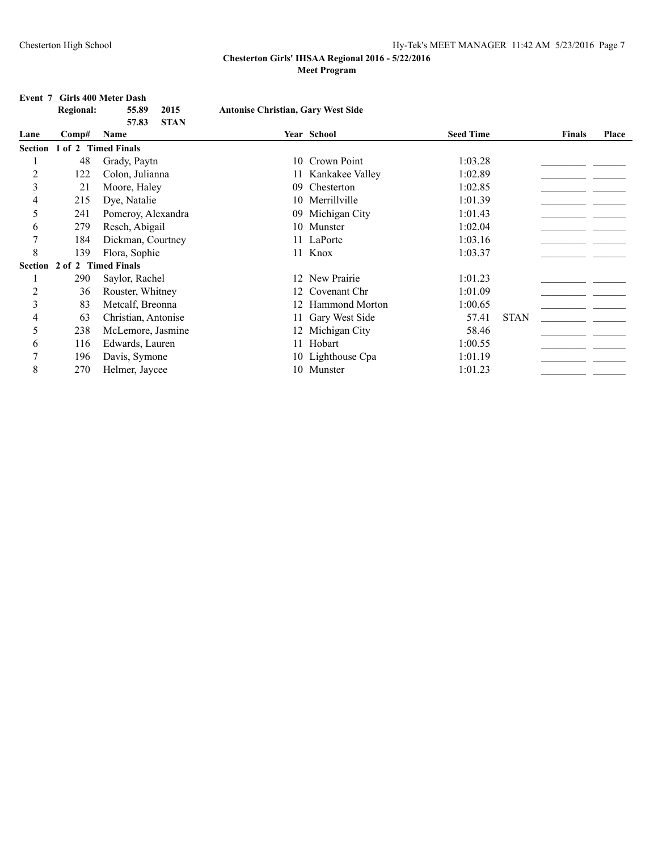#### **Event 7 Girls 400 Meter Dash**

| <b>Regional:</b> | 55.89 | 2015        | <b>Antonise Christian, Gary West Side</b> |
|------------------|-------|-------------|-------------------------------------------|
|                  | 57.83 | <b>STAN</b> |                                           |

| Lane | $\bf Comp\#$                | Name                |     | Year School        | <b>Seed Time</b> |             | <b>Finals</b> | Place |
|------|-----------------------------|---------------------|-----|--------------------|------------------|-------------|---------------|-------|
|      | Section 1 of 2 Timed Finals |                     |     |                    |                  |             |               |       |
|      | 48                          | Grady, Paytn        |     | 10 Crown Point     | 1:03.28          |             |               |       |
| 2    | 122                         | Colon, Julianna     |     | 11 Kankakee Valley | 1:02.89          |             |               |       |
| 3    | 21                          | Moore, Haley        | 09  | Chesterton         | 1:02.85          |             |               |       |
| 4    | 215                         | Dye, Natalie        | 10  | Merrillville       | 1:01.39          |             |               |       |
| 5    | 241                         | Pomeroy, Alexandra  | 09  | Michigan City      | 1:01.43          |             |               |       |
| 6    | 279                         | Resch, Abigail      |     | 10 Munster         | 1:02.04          |             |               |       |
| 7    | 184                         | Dickman, Courtney   |     | 11 LaPorte         | 1:03.16          |             |               |       |
| 8    | 139                         | Flora, Sophie       |     | 11 Knox            | 1:03.37          |             |               |       |
|      | Section 2 of 2 Timed Finals |                     |     |                    |                  |             |               |       |
|      | 290                         | Saylor, Rachel      |     | 12 New Prairie     | 1:01.23          |             |               |       |
| 2    | 36                          | Rouster, Whitney    |     | 12 Covenant Chr    | 1:01.09          |             |               |       |
| 3    | 83                          | Metcalf, Breonna    |     | 12 Hammond Morton  | 1:00.65          |             |               |       |
| 4    | 63                          | Christian, Antonise |     | 11 Gary West Side  | 57.41            | <b>STAN</b> |               |       |
| 5    | 238                         | McLemore, Jasmine   |     | 12 Michigan City   | 58.46            |             |               |       |
| 6    | 116                         | Edwards, Lauren     | 11. | Hobart             | 1:00.55          |             |               |       |
|      | 196                         | Davis, Symone       |     | 10 Lighthouse Cpa  | 1:01.19          |             |               |       |
| 8    | 270                         | Helmer, Jaycee      |     | 10 Munster         | 1:01.23          |             |               |       |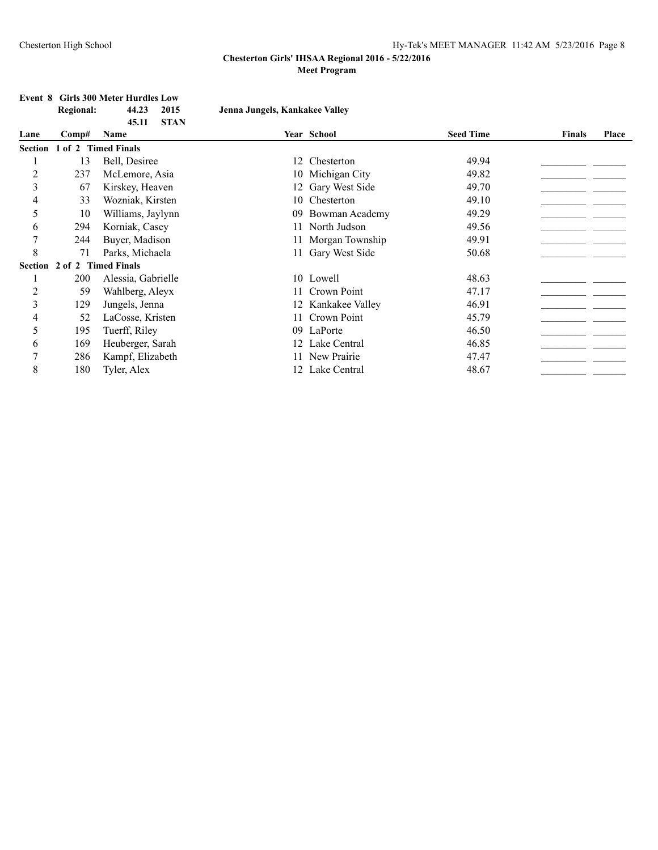### Chesterton High School Hy-Tek's MEET MANAGER 11:42 AM 5/23/2016 Page 8

### **Chesterton Girls' IHSAA Regional 2016 - 5/22/2016 Meet Program**

**Regional: 44.23 2015 Jenna Jungels, Kankakee Valley**

# **Event 8 Girls 300 Meter Hurdles Low<br>Regional:** 44.23 2015

|                |       | <b>STAN</b><br>45.11 |     |                    |                  |               |       |
|----------------|-------|----------------------|-----|--------------------|------------------|---------------|-------|
| Lane           | Comp# | Name                 |     | Year School        | <b>Seed Time</b> | <b>Finals</b> | Place |
| Section        |       | 1 of 2 Timed Finals  |     |                    |                  |               |       |
|                | 13    | Bell, Desiree        | 12  | Chesterton         | 49.94            |               |       |
| $\overline{c}$ | 237   | McLemore, Asia       |     | 10 Michigan City   | 49.82            |               |       |
| 3              | 67    | Kirskey, Heaven      | 12  | Gary West Side     | 49.70            |               |       |
| 4              | 33    | Wozniak, Kirsten     | 10. | Chesterton         | 49.10            |               |       |
| 5              | 10    | Williams, Jaylynn    | 09  | Bowman Academy     | 49.29            |               |       |
| 6              | 294   | Korniak, Casey       | 11  | North Judson       | 49.56            |               |       |
| 7              | 244   | Buyer, Madison       | 11. | Morgan Township    | 49.91            |               |       |
| 8              | 71    | Parks, Michaela      | 11  | Gary West Side     | 50.68            |               |       |
| Section        |       | 2 of 2 Timed Finals  |     |                    |                  |               |       |
|                | 200   | Alessia, Gabrielle   |     | 10 Lowell          | 48.63            |               |       |
| 2              | 59    | Wahlberg, Aleyx      | 11  | Crown Point        | 47.17            |               |       |
| 3              | 129   | Jungels, Jenna       |     | 12 Kankakee Valley | 46.91            |               |       |
| 4              | 52    | LaCosse, Kristen     | 11  | Crown Point        | 45.79            |               |       |
| 5              | 195   | Tuerff, Riley        | 09  | LaPorte            | 46.50            |               |       |
| 6              | 169   | Heuberger, Sarah     | 12  | Lake Central       | 46.85            |               |       |
| 7              | 286   | Kampf, Elizabeth     | 11  | New Prairie        | 47.47            |               |       |
| 8              | 180   | Tyler, Alex          | 12  | Lake Central       | 48.67            |               |       |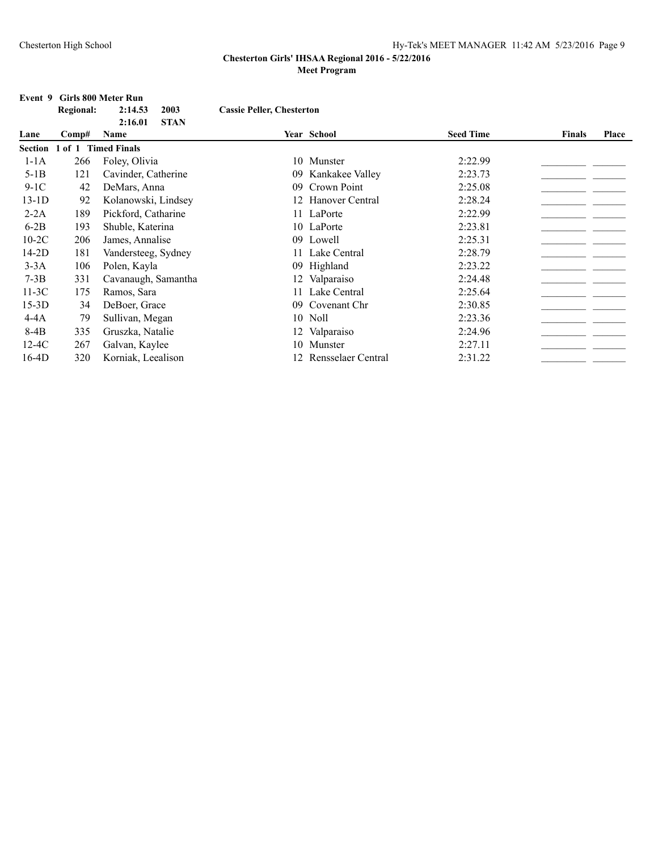### **Event 9 Girls 800 Meter Run Regional: 2:14.53 2003 Cassie Peller, Chesterton 2:16.01 STAN Lane Comp# Name Year School Seed Time Finals Place Section 1 of 1 Timed Finals** 1-1A 266 Foley, Olivia 10 Munster 2:22.99\_\_\_\_\_\_\_\_\_\_\_\_\_\_\_\_\_\_\_\_\_\_ \_\_\_\_\_\_\_ 5-1B 121 Cavinder, Catherine 09 Kankakee Valley 2:23.73 9-1C 42 DeMars, Anna  $09$  Crown Point 2:25.08  $\qquad \qquad$ 13-1D 92 Kolanowski, Lindsey 12 Hanover Central 2:28.24 2:28.24 2012 2-2A 189 Pickford, Catharine 11 LaPorte 2:22.99 2022.29 2022.29 2022.29 2022.209 2022.209 2022.209 2022.209 20 6-2B 193 Shuble, Katerina 10 LaPorte 2:23.81 \_\_\_\_\_\_\_\_\_\_\_\_\_\_\_\_\_\_\_\_\_\_\_\_\_\_\_\_\_\_\_\_\_\_\_ 10-2C 206 James, Annalise 09 Lowell 2:25.31 14-2D 181 Vandersteeg, Sydney 11 Lake Central 2:28.79\_\_\_\_\_\_\_\_\_\_\_\_\_\_\_\_\_\_\_\_\_\_ \_\_\_\_\_\_\_ 3-3A 106 Polen, Kayla 09 Highland 2:23.22\_\_\_\_\_\_\_\_\_\_\_\_\_\_\_\_\_\_\_\_\_\_ \_\_\_\_\_\_\_ 7-3B 331 Cavanaugh, Samantha 12 Valparaiso 2:24.48 \_\_\_\_\_\_\_\_\_\_\_\_\_\_\_\_\_\_\_\_\_\_\_\_ 11-3C 175 Ramos, Sara 11 Lake Central 2:25.64\_\_\_\_\_\_\_\_\_\_\_\_\_\_\_\_\_\_\_\_\_\_ \_\_\_\_\_\_\_ 15-3D 34 DeBoer, Grace 09 Covenant Chr 2:30.85 \_\_\_\_\_\_\_\_\_\_\_\_\_\_\_\_\_\_\_\_\_\_\_\_\_\_\_\_\_\_\_\_\_ 4-4A 79 Sullivan, Megan 10 Noll 2:23.36 2014 8-4B 335 Gruszka, Natalie 12 Valparaiso 2:24.96 2:24.96 \_\_\_\_\_\_\_\_\_\_\_\_\_\_\_\_\_\_\_\_\_\_\_\_<br>12 Valparaiso 2:24.96 2:27.11 2:267 Galvan, Kavlee 10 Munster 2:27.11 2:27.11 12-4C 267 Galvan, Kaylee 10 Munster 2:27.11 16-4D 320 Korniak, Leealison 12 Rensselaer Central 2:31.22 \_\_\_\_\_\_\_\_\_\_\_\_\_\_\_\_\_\_\_\_\_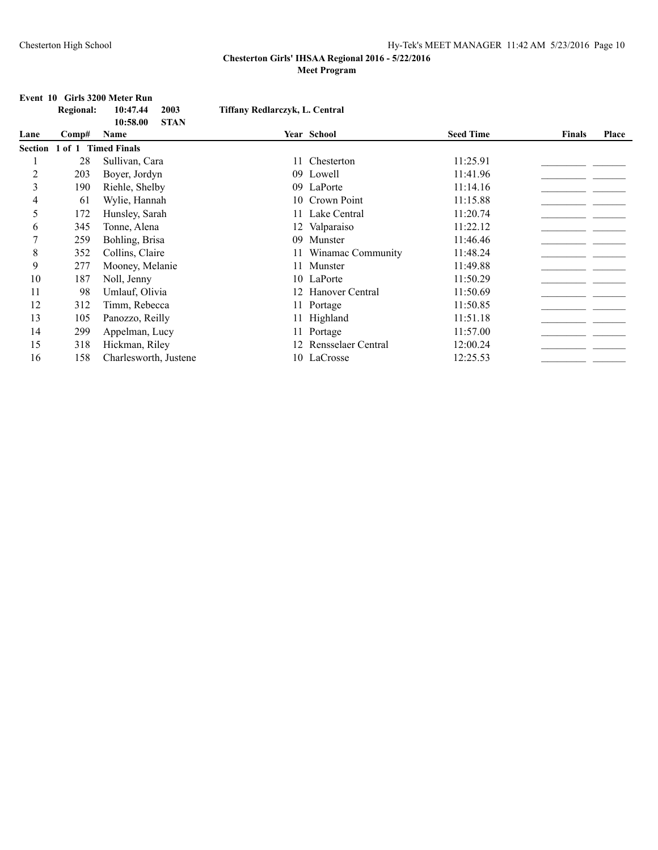# **Event 10 Girls 3200 Meter Run**

|                | <b>Regional:</b> | 10:47.44<br>2003<br>10:58.00<br><b>STAN</b> | Tiffany Redlarczyk, L. Central |                    |                  |               |       |
|----------------|------------------|---------------------------------------------|--------------------------------|--------------------|------------------|---------------|-------|
| Lane           | Comp#            | Name                                        |                                | Year School        | <b>Seed Time</b> | <b>Finals</b> | Place |
| <b>Section</b> |                  | of 1 Timed Finals                           |                                |                    |                  |               |       |
|                | 28               | Sullivan, Cara                              | 11                             | Chesterton         | 11:25.91         |               |       |
| $\overline{c}$ | 203              | Boyer, Jordyn                               |                                | 09 Lowell          | 11:41.96         |               |       |
| 3              | 190              | Riehle, Shelby                              |                                | 09 LaPorte         | 11:14.16         |               |       |
| 4              | 61               | Wylie, Hannah                               | 10                             | Crown Point        | 11:15.88         |               |       |
| 5              | 172              | Hunsley, Sarah                              | 11                             | Lake Central       | 11:20.74         |               |       |
| 6              | 345              | Tonne, Alena                                |                                | 12 Valparaiso      | 11:22.12         |               |       |
| 7              | 259              | Bohling, Brisa                              | 09                             | Munster            | 11:46.46         |               |       |
| 8              | 352              | Collins, Claire                             |                                | Winamac Community  | 11:48.24         |               |       |
| 9              | 277              | Mooney, Melanie                             | 11                             | Munster            | 11:49.88         |               |       |
| 10             | 187              | Noll, Jenny                                 |                                | 10 LaPorte         | 11:50.29         |               |       |
| 11             | 98               | Umlauf, Olivia                              | 12                             | Hanover Central    | 11:50.69         |               |       |
| 12             | 312              | Timm, Rebecca                               |                                | 11 Portage         | 11:50.85         |               |       |
| 13             | 105              | Panozzo, Reilly                             |                                | 11 Highland        | 11:51.18         |               |       |
| 14             | 299              | Appelman, Lucy                              |                                | 11 Portage         | 11:57.00         |               |       |
| 15             | 318              | Hickman, Riley                              | 12                             | Rensselaer Central | 12:00.24         |               |       |
| 16             | 158              | Charlesworth, Justene                       |                                | 10 LaCrosse        | 12:25.53         |               |       |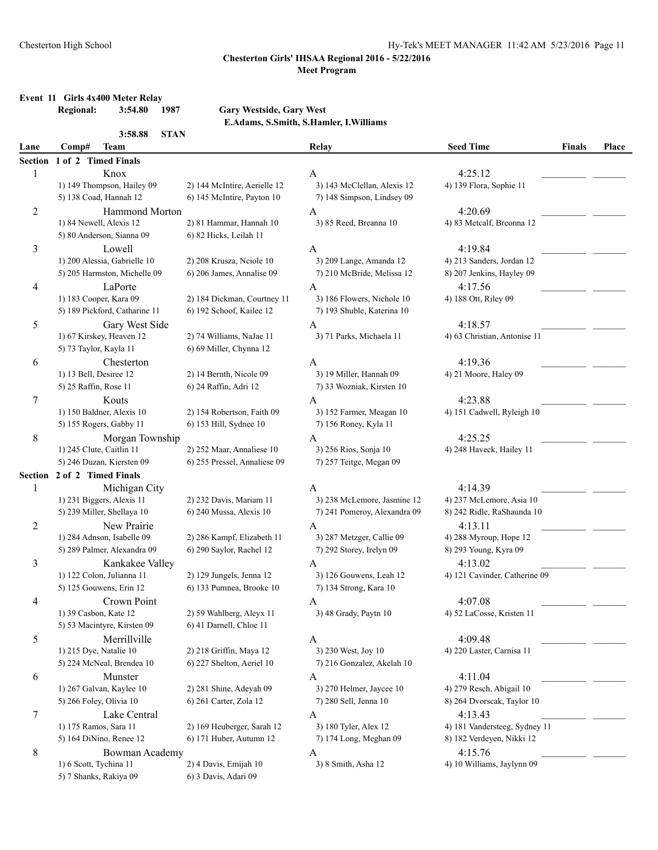# **Event 11 Girls 4x400 Meter Relay**

# $Gary Westside, Gary West$

**E.Adams, S.Smith, S.Hamler, I.Williams**

|                | <b>STAN</b><br>3:58.88              |                              |                               |                               |               |              |
|----------------|-------------------------------------|------------------------------|-------------------------------|-------------------------------|---------------|--------------|
| Lane           | <b>Team</b><br>Comp#                |                              | Relay                         | <b>Seed Time</b>              | <b>Finals</b> | <b>Place</b> |
| <b>Section</b> | 1 of 2 Timed Finals                 |                              |                               |                               |               |              |
| 1              | Knox                                |                              | A                             | 4:25.12                       |               |              |
|                | 1) 149 Thompson, Hailey 09          | 2) 144 McIntire, Aerielle 12 | 3) 143 McClellan, Alexis 12   | 4) 139 Flora, Sophie 11       |               |              |
|                | 5) 138 Coad, Hannah 12              | 6) 145 McIntire, Payton 10   | 7) 148 Simpson, Lindsey 09    |                               |               |              |
| $\overline{c}$ | Hammond Morton                      |                              | A                             | 4:20.69                       |               |              |
|                | 1) 84 Newell, Alexis 12             | 2) 81 Hammar, Hannah 10      | 3) 85 Reed, Breanna 10        | 4) 83 Metcalf, Breonna 12     |               |              |
|                | 5) 80 Anderson, Sianna 09           | 6) 82 Hicks, Leilah 11       |                               |                               |               |              |
| 3              | Lowell                              |                              | A                             | 4:19.84                       |               |              |
|                | 1) 200 Alessia, Gabrielle 10        | 2) 208 Krusza, Neiole 10     | 3) 209 Lange, Amanda 12       | 4) 213 Sanders, Jordan 12     |               |              |
|                | 5) 205 Harmston, Michelle 09        | 6) 206 James, Annalise 09    | 7) 210 McBride, Melissa 12    | 8) 207 Jenkins, Hayley 09     |               |              |
| 4              | LaPorte                             |                              | $\mathbf{A}$                  | 4:17.56                       |               |              |
|                | 1) 183 Cooper, Kara 09              | 2) 184 Dickman, Courtney 11  | 3) 186 Flowers, Nichole 10    | 4) 188 Ott, Riley 09          |               |              |
|                | 5) 189 Pickford, Catharine 11       | 6) 192 Schoof, Kailee 12     | 7) 193 Shuble, Katerina 10    |                               |               |              |
| 5              | Gary West Side                      |                              | A                             | 4:18.57                       |               |              |
|                | 1) 67 Kirskey, Heaven 12            | 2) 74 Williams, NaJae 11     | 3) 71 Parks, Michaela 11      | 4) 63 Christian, Antonise 11  |               |              |
|                | 5) 73 Taylor, Kayla 11              | 6) 69 Miller, Chynna 12      |                               |                               |               |              |
|                |                                     |                              |                               |                               |               |              |
| 6              | Chesterton                          |                              | A                             | 4:19.36                       |               |              |
|                | 1) 13 Bell, Desiree 12              | 2) 14 Bernth, Nicole 09      | 3) 19 Miller, Hannah 09       | 4) 21 Moore, Haley 09         |               |              |
|                | 5) 25 Raffin, Rose 11               | 6) 24 Raffin, Adri 12        | 7) 33 Wozniak, Kirsten 10     |                               |               |              |
| 7              | Kouts                               |                              | A                             | 4:23.88                       |               |              |
|                | 1) 150 Baldner, Alexis 10           | 2) 154 Robertson, Faith 09   | 3) 152 Farmer, Meagan 10      | 4) 151 Cadwell, Ryleigh 10    |               |              |
|                | 5) 155 Rogers, Gabby 11             | 6) 153 Hill, Sydnee 10       | 7) 156 Roney, Kyla 11         |                               |               |              |
| 8              | Morgan Township                     |                              | A                             | 4:25.25                       |               |              |
|                | 1) 245 Clute, Caitlin 11            | 2) 252 Maar, Annaliese 10    | 3) 256 Rios, Sonja 10         | 4) 248 Haveck, Hailey 11      |               |              |
|                | 5) 246 Duzan, Kiersten 09           | 6) 255 Pressel, Annaliese 09 | 7) 257 Teitge, Megan 09       |                               |               |              |
| <b>Section</b> | 2 of 2 Timed Finals                 |                              |                               |                               |               |              |
| 1              | Michigan City                       |                              | A                             | 4:14.39                       |               |              |
|                | 1) 231 Biggers, Alexis 11           | 2) 232 Davis, Mariam 11      | 3) 238 McLemore, Jasmine 12   | 4) 237 McLemore, Asia 10      |               |              |
|                | 5) 239 Miller, Shellaya 10          | 6) 240 Mussa, Alexis 10      | 7) 241 Pomeroy, Alexandra 09  | 8) 242 Ridle, RaShaunda 10    |               |              |
| 2              | New Prairie                         |                              | A                             | 4:13.11                       |               |              |
|                | 1) 284 Adnson, Isabelle 09          | 2) 286 Kampf, Elizabeth 11   | 3) 287 Metzger, Callie 09     | 4) 288 Myroup, Hope 12        |               |              |
|                | 5) 289 Palmer, Alexandra 09         | 6) 290 Saylor, Rachel 12     | 7) 292 Storey, Irelyn 09      | 8) 293 Young, Kyra 09         |               |              |
| 3              | Kankakee Valley                     |                              | A                             | 4:13.02                       |               |              |
|                | 1) 122 Colon, Julianna 11           | 2) 129 Jungels, Jenna 12     | 3) 126 Gouwens, Leah 12       | 4) 121 Cavinder, Catherine 09 |               |              |
|                | 5) 125 Gouwens, Erin 12             | 6) 133 Pumnea, Brooke 10     | 7) 134 Strong, Kara 10        |                               |               |              |
| 4              | Crown Point                         |                              | A                             | 4:07.08                       |               |              |
|                | 1) 39 Casbon, Kate 12               | 2) 59 Wahlberg, Aleyx 11     | 3) 48 Grady, Paytn 10         | 4) 52 LaCosse, Kristen 11     |               |              |
|                | 5) 53 Macintyre, Kirsten 09         | 6) 41 Darnell, Chloe 11      |                               |                               |               |              |
| 5              | Merrillville                        |                              | A                             | 4:09.48                       |               |              |
|                | 1) 215 Dye, Natalie 10              | 2) 218 Griffin, Maya 12      | 3) 230 West, Joy 10           | 4) 220 Laster, Carnisa 11     |               |              |
|                | 5) 224 McNeal, Brendea 10           | 6) 227 Shelton, Aeriel 10    | 7) 216 Gonzalez, Akelah 10    |                               |               |              |
|                |                                     |                              |                               | 4:11.04                       |               |              |
| 6              | Munster<br>1) 267 Galvan, Kaylee 10 | 2) 281 Shine, Adeyah 09      | A<br>3) 270 Helmer, Jaycee 10 |                               |               |              |
|                |                                     |                              |                               | 4) 279 Resch, Abigail 10      |               |              |
|                | 5) 266 Foley, Olivia 10             | 6) 261 Carter, Zola 12       | 7) 280 Sell, Jenna 10         | 8) 264 Dvorscak, Taylor 10    |               |              |
| 7              | Lake Central                        |                              | A                             | 4:13.43                       |               |              |
|                | 1) 175 Ramos, Sara 11               | 2) 169 Heuberger, Sarah 12   | 3) 180 Tyler, Alex 12         | 4) 181 Vandersteeg, Sydney 11 |               |              |
|                | 5) 164 DiNino, Renee 12             | 6) 171 Huber, Autumn 12      | 7) 174 Long, Meghan 09        | 8) 182 Verdeyen, Nikki 12     |               |              |
| 8              | Bowman Academy                      |                              | A                             | 4:15.76                       |               |              |
|                | 1) 6 Scott, Tychina 11              | 2) 4 Davis, Emijah 10        | 3) 8 Smith, Asha 12           | 4) 10 Williams, Jaylynn 09    |               |              |
|                | 5) 7 Shanks, Rakiya 09              | 6) 3 Davis, Adari 09         |                               |                               |               |              |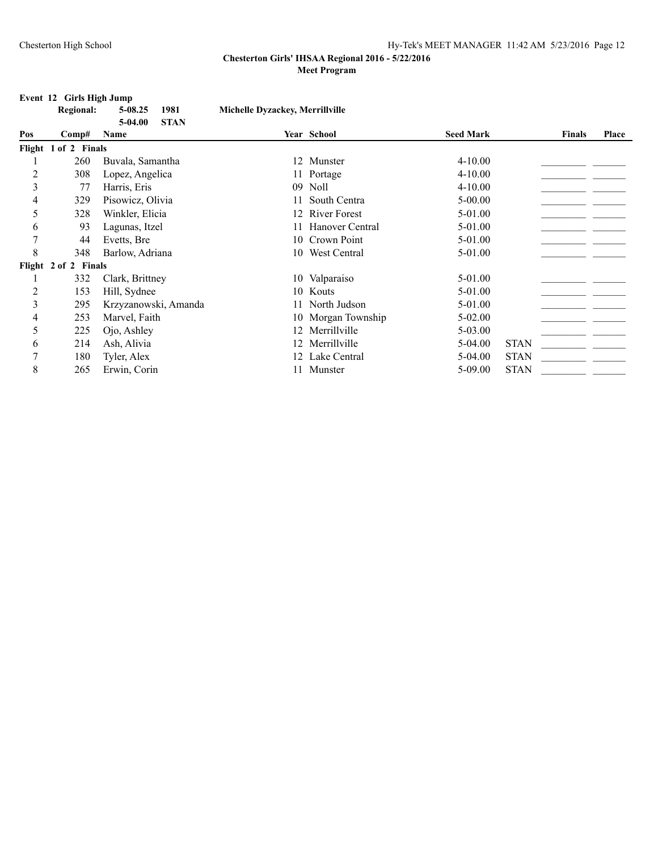### **Event 12 Girls High Jump**

|                | <b>Regional:</b>     | $5 - 08.25$<br>1981              | Michelle Dyzackey, Merrillville |                     |                  |             |               |       |
|----------------|----------------------|----------------------------------|---------------------------------|---------------------|------------------|-------------|---------------|-------|
| Pos            | Comp#                | <b>STAN</b><br>$5-04.00$<br>Name |                                 | Year School         | <b>Seed Mark</b> |             | <b>Finals</b> | Place |
|                |                      |                                  |                                 |                     |                  |             |               |       |
|                | Flight 1 of 2 Finals |                                  |                                 |                     |                  |             |               |       |
|                | 260                  | Buvala, Samantha                 |                                 | 12 Munster          | $4 - 10.00$      |             |               |       |
| $\overline{c}$ | 308                  | Lopez, Angelica                  |                                 | 11 Portage          | $4 - 10.00$      |             |               |       |
| 3              | 77                   | Harris, Eris                     |                                 | 09 Noll             | $4 - 10.00$      |             |               |       |
| 4              | 329                  | Pisowicz, Olivia                 | 11                              | South Centra        | $5-00.00$        |             |               |       |
| 5              | 328                  | Winkler, Elicia                  | 12                              | <b>River Forest</b> | 5-01.00          |             |               |       |
| 6              | 93                   | Lagunas, Itzel                   | 11                              | Hanover Central     | 5-01.00          |             |               |       |
| 7              | 44                   | Evetts, Bre                      | 10                              | Crown Point         | 5-01.00          |             |               |       |
| 8              | 348                  | Barlow, Adriana                  | 10                              | West Central        | 5-01.00          |             |               |       |
|                | Flight 2 of 2 Finals |                                  |                                 |                     |                  |             |               |       |
|                | 332                  | Clark, Brittney                  |                                 | 10 Valparaiso       | 5-01.00          |             |               |       |
| 2              | 153                  | Hill, Sydnee                     |                                 | 10 Kouts            | 5-01.00          |             |               |       |
| 3              | 295                  | Krzyzanowski, Amanda             | 11                              | North Judson        | 5-01.00          |             |               |       |
| 4              | 253                  | Marvel, Faith                    |                                 | 10 Morgan Township  | $5 - 02.00$      |             |               |       |
| 5              | 225                  | Ojo, Ashley                      | 12                              | Merrillville        | 5-03.00          |             |               |       |
| 6              | 214                  | Ash, Alivia                      | 12                              | Merrillville        | $5-04.00$        | <b>STAN</b> |               |       |
| 7              | 180                  | Tyler, Alex                      |                                 | Lake Central        | $5-04.00$        | <b>STAN</b> |               |       |
| 8              | 265                  | Erwin, Corin                     |                                 | 11 Munster          | $5-09.00$        | <b>STAN</b> |               |       |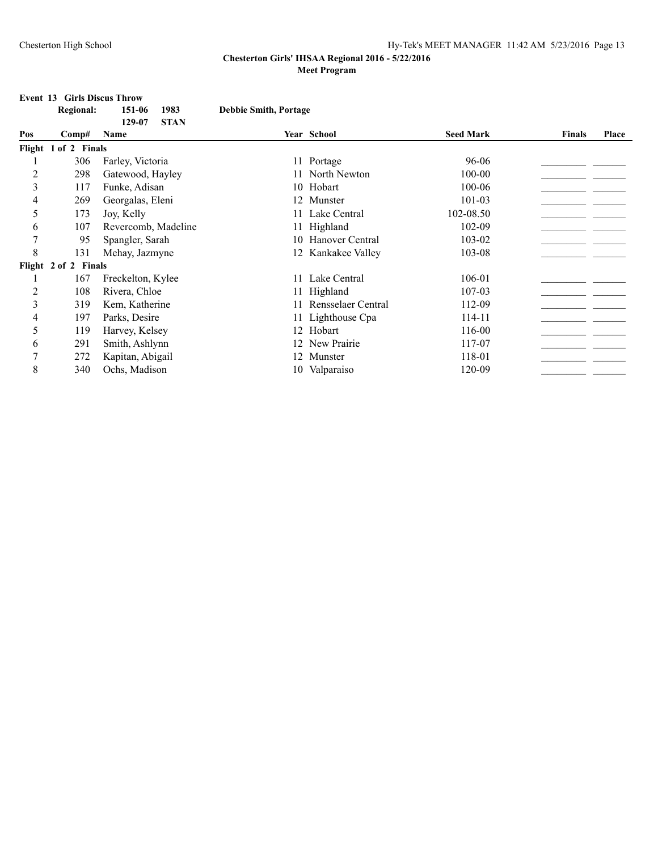### **Event 13 Girls Discus Throw**

|     | <b>Regional:</b>     | 1983<br>151-06                | <b>Debbie Smith, Portage</b> |                    |                  |               |              |
|-----|----------------------|-------------------------------|------------------------------|--------------------|------------------|---------------|--------------|
| Pos | Comp#                | <b>STAN</b><br>129-07<br>Name |                              | Year School        | <b>Seed Mark</b> | <b>Finals</b> | <b>Place</b> |
|     | Flight 1 of 2 Finals |                               |                              |                    |                  |               |              |
|     | 306                  | Farley, Victoria              |                              | 11 Portage         | 96-06            |               |              |
| 2   | 298                  | Gatewood, Hayley              |                              | North Newton       | 100-00           |               |              |
| 3   | 117                  | Funke, Adisan                 |                              | 10 Hobart          | 100-06           |               |              |
| 4   | 269                  | Georgalas, Eleni              |                              | 12 Munster         | 101-03           |               |              |
| 5   | 173                  | Joy, Kelly                    |                              | 11 Lake Central    | 102-08.50        |               |              |
| 6   | 107                  | Revercomb, Madeline           |                              | 11 Highland        | 102-09           |               |              |
| 7   | 95                   | Spangler, Sarah               |                              | 10 Hanover Central | 103-02           |               |              |
| 8   | 131                  | Mehay, Jazmyne                |                              | 12 Kankakee Valley | 103-08           |               |              |
|     | Flight 2 of 2 Finals |                               |                              |                    |                  |               |              |
|     | 167                  | Freckelton, Kylee             |                              | 11 Lake Central    | 106-01           |               |              |
| 2   | 108                  | Rivera, Chloe                 |                              | 11 Highland        | 107-03           |               |              |
| 3   | 319                  | Kem, Katherine                |                              | Rensselaer Central | 112-09           |               |              |
| 4   | 197                  | Parks, Desire                 |                              | 11 Lighthouse Cpa  | 114-11           |               |              |
| 5   | 119                  | Harvey, Kelsey                |                              | 12 Hobart          | 116-00           |               |              |
| 6   | 291                  | Smith, Ashlynn                |                              | 12 New Prairie     | 117-07           |               |              |
|     | 272                  | Kapitan, Abigail              |                              | Munster            | 118-01           |               |              |
| 8   | 340                  | Ochs, Madison                 |                              | 10 Valparaiso      | 120-09           |               |              |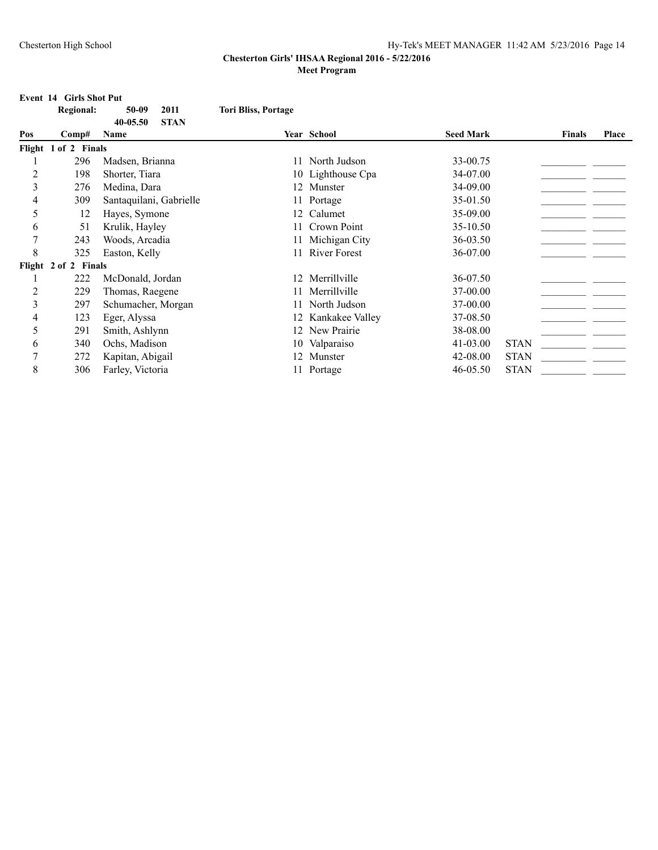|                | Event 14 Girls Shot Put |                         |                            |                     |                  |               |              |  |
|----------------|-------------------------|-------------------------|----------------------------|---------------------|------------------|---------------|--------------|--|
|                | <b>Regional:</b>        | 50-09<br>2011           | <b>Tori Bliss, Portage</b> |                     |                  |               |              |  |
|                |                         | 40-05.50<br><b>STAN</b> |                            |                     |                  |               |              |  |
| Pos            | Comp#                   | Name                    |                            | Year School         | <b>Seed Mark</b> | <b>Finals</b> | <b>Place</b> |  |
|                | Flight 1 of 2 Finals    |                         |                            |                     |                  |               |              |  |
|                | 296                     | Madsen, Brianna         | 11                         | North Judson        | 33-00.75         |               |              |  |
| $\overline{2}$ | 198                     | Shorter, Tiara          |                            | 10 Lighthouse Cpa   | 34-07.00         |               |              |  |
| 3              | 276                     | Medina, Dara            |                            | 12 Munster          | 34-09.00         |               |              |  |
| 4              | 309                     | Santaquilani, Gabrielle |                            | Portage             | 35-01.50         |               |              |  |
| 5              | 12                      | Hayes, Symone           | 12.                        | Calumet             | 35-09.00         |               |              |  |
| 6              | 51                      | Krulik, Hayley          | 11                         | Crown Point         | 35-10.50         |               |              |  |
| 7              | 243                     | Woods, Arcadia          | 11                         | Michigan City       | 36-03.50         |               |              |  |
| 8              | 325                     | Easton, Kelly           | 11                         | <b>River Forest</b> | 36-07.00         |               |              |  |
|                | Flight 2 of 2 Finals    |                         |                            |                     |                  |               |              |  |
|                | 222                     | McDonald, Jordan        | 12.                        | Merrillville        | 36-07.50         |               |              |  |
| $\overline{c}$ | 229                     | Thomas, Raegene         | 11                         | Merrillville        | 37-00.00         |               |              |  |
| 3              | 297                     | Schumacher, Morgan      | 11                         | North Judson        | 37-00.00         |               |              |  |
| 4              | 123                     | Eger, Alyssa            | 12                         | Kankakee Valley     | 37-08.50         |               |              |  |
| 5              | 291                     | Smith, Ashlynn          | 12                         | New Prairie         | 38-08.00         |               |              |  |
| 6              | 340                     | Ochs, Madison           | 10                         | Valparaiso          | 41-03.00         | <b>STAN</b>   |              |  |
| 7              | 272                     | Kapitan, Abigail        |                            | 12 Munster          | 42-08.00         | <b>STAN</b>   |              |  |
| 8              | 306                     | Farley, Victoria        |                            | 11 Portage          | 46-05.50         | <b>STAN</b>   |              |  |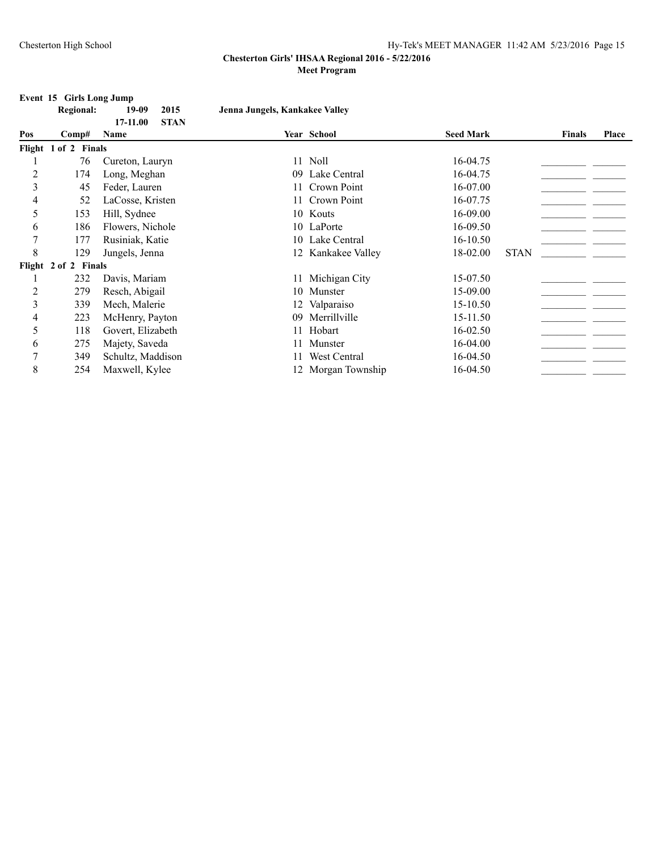## **Event 15 Girls Long Jump**

|     | <b>Regional:</b>     | 2015<br>19-09<br>STAN<br>17-11.00 | Jenna Jungels, Kankakee Valley |                    |                  |        |       |
|-----|----------------------|-----------------------------------|--------------------------------|--------------------|------------------|--------|-------|
| Pos | Comp#                | <b>Name</b>                       |                                | <b>Year School</b> | <b>Seed Mark</b> | Finals | Place |
|     | Flight 1 of 2 Finals |                                   |                                |                    |                  |        |       |
|     | 76                   | Cureton, Lauryn                   |                                | 11 Noll            | 16-04.75         |        |       |
| 2   | 174                  | Long, Meghan                      |                                | 09 Lake Central    | 16-04.75         |        |       |
|     | 45.                  | Feder Lauren                      |                                | 11 Crown Point     | 16-07.00         |        |       |

|   | 76                   | Cureton, Lauryn   | 11 Noll            | 16-04.75     |             |  |
|---|----------------------|-------------------|--------------------|--------------|-------------|--|
| 2 | 174                  | Long, Meghan      | 09 Lake Central    | 16-04.75     |             |  |
| 3 | 45                   | Feder, Lauren     | 11 Crown Point     | 16-07.00     |             |  |
| 4 | 52                   | LaCosse, Kristen  | 11 Crown Point     | 16-07.75     |             |  |
| 5 | 153                  | Hill, Sydnee      | 10 Kouts           | 16-09.00     |             |  |
| 6 | 186                  | Flowers, Nichole  | 10 LaPorte         | 16-09.50     |             |  |
| 7 | 177                  | Rusiniak, Katie   | 10 Lake Central    | $16 - 10.50$ |             |  |
| 8 | 129                  | Jungels, Jenna    | 12 Kankakee Valley | 18-02.00     | <b>STAN</b> |  |
|   | Flight 2 of 2 Finals |                   |                    |              |             |  |
|   | 232                  | Davis, Mariam     | 11 Michigan City   | 15-07.50     |             |  |
| 2 | 279                  | Resch, Abigail    | 10 Munster         | 15-09.00     |             |  |
| 3 | 339                  | Mech, Malerie     | 12 Valparaiso      | 15-10.50     |             |  |
| 4 | 223                  | McHenry, Payton   | 09 Merrillville    | 15-11.50     |             |  |
|   | 118                  | Govert, Elizabeth | 11 Hobart          | 16-02.50     |             |  |
| 6 | 275                  | Majety, Saveda    | 11 Munster         | 16-04.00     |             |  |
|   | 349                  | Schultz, Maddison | West Central       | 16-04.50     |             |  |
| 8 | 254                  | Maxwell, Kylee    | 12 Morgan Township | 16-04.50     |             |  |